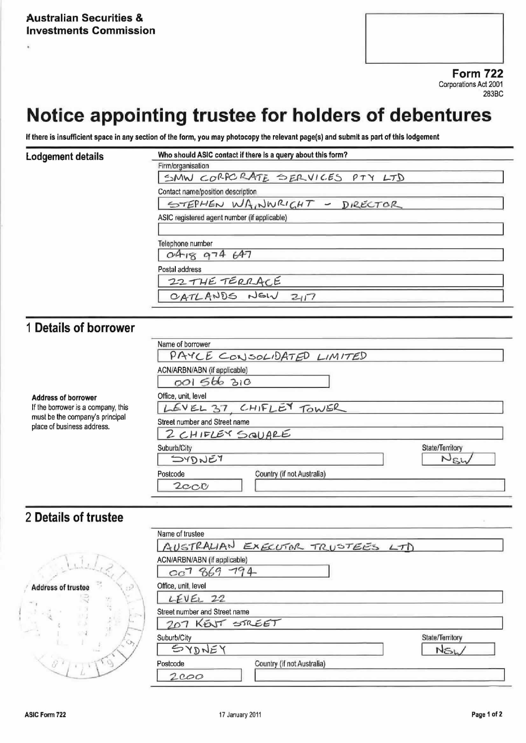# Notice appointing trustee for holders of debentures

If there is insufficient space in any section of the form, you may photocopy the relevant page(s) and submit as part of this lodgement

#### **Lodgement details**

| Firm/organisation                 |                                              |  |  |
|-----------------------------------|----------------------------------------------|--|--|
|                                   | SMW CORPORATE SERVICES PTY LTD               |  |  |
| Contact name/position description |                                              |  |  |
|                                   | STEPHEN WAINNRIGHT - DIRECTOR                |  |  |
|                                   |                                              |  |  |
|                                   | ASIC registered agent number (if applicable) |  |  |
|                                   |                                              |  |  |
|                                   |                                              |  |  |
| Telephone number<br>0418974677    |                                              |  |  |
| Postal address                    |                                              |  |  |
|                                   | 22 THE TERRACE                               |  |  |

## 1 Details of borrower

If the borrower is a company, this must be the company's principal place of business address.

**Address of borrower** 

|                               | PAYCE CONSOLIDATED LIMITED |                 |
|-------------------------------|----------------------------|-----------------|
| ACN/ARBN/ABN (if applicable)  |                            |                 |
| 001 566 310                   |                            |                 |
| Office, unit, level           |                            |                 |
|                               | LEVEL 37 CHIFLEY TOWER     |                 |
| Street number and Street name |                            |                 |
|                               | 2 CHIFLEY SQUARE           |                 |
| Suburb/City                   |                            | State/Territory |
| <b>SYDNEY</b>                 |                            |                 |
| Postcode                      | Country (if not Australia) |                 |
| $2c$ C $c$                    |                            |                 |

### 2 Details of trustee

|                                  | Name of trustee                        |                 |  |  |
|----------------------------------|----------------------------------------|-----------------|--|--|
|                                  | AUSTRALIAN EXECUTOR TRUSTEES LTD       |                 |  |  |
|                                  | ACN/ARBN/ABN (if applicable)           |                 |  |  |
|                                  | cc7869794                              |                 |  |  |
| <b>Address of trustee</b><br>137 | Office, unit, level                    |                 |  |  |
|                                  | LEVEL 22                               |                 |  |  |
| iP4                              | Street number and Street name          |                 |  |  |
|                                  | 207 KENT STREET                        |                 |  |  |
| C.N                              | Suburb/City                            | State/Territory |  |  |
|                                  | SYDNEY                                 | NSL             |  |  |
|                                  | Country (if not Australia)<br>Postcode |                 |  |  |
|                                  | 2000                                   |                 |  |  |
|                                  |                                        |                 |  |  |